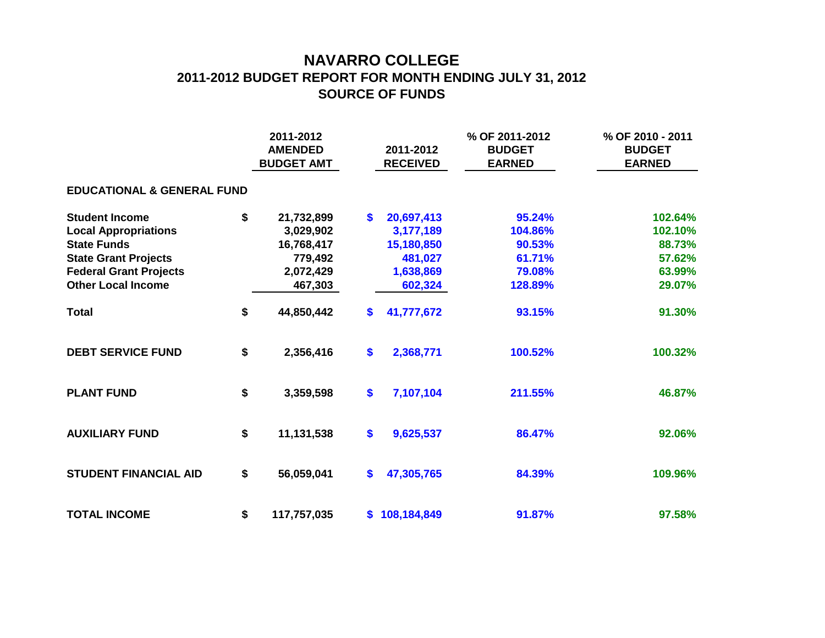## **NAVARRO COLLEGE 2011-2012 BUDGET REPORT FOR MONTH ENDING JULY 31, 2012 SOURCE OF FUNDS**

|                                       | 2011-2012<br><b>AMENDED</b><br><b>BUDGET AMT</b> |             |    | 2011-2012<br><b>RECEIVED</b> | % OF 2011-2012<br><b>BUDGET</b><br><b>EARNED</b> | % OF 2010 - 2011<br><b>BUDGET</b><br><b>EARNED</b> |  |  |  |  |  |  |  |
|---------------------------------------|--------------------------------------------------|-------------|----|------------------------------|--------------------------------------------------|----------------------------------------------------|--|--|--|--|--|--|--|
| <b>EDUCATIONAL &amp; GENERAL FUND</b> |                                                  |             |    |                              |                                                  |                                                    |  |  |  |  |  |  |  |
| <b>Student Income</b>                 | \$                                               | 21,732,899  | S. | 20,697,413                   | 95.24%                                           | 102.64%                                            |  |  |  |  |  |  |  |
| <b>Local Appropriations</b>           |                                                  | 3,029,902   |    | 3,177,189                    | 104.86%                                          | 102.10%                                            |  |  |  |  |  |  |  |
| <b>State Funds</b>                    |                                                  | 16,768,417  |    | 15,180,850                   | 90.53%                                           | 88.73%                                             |  |  |  |  |  |  |  |
| <b>State Grant Projects</b>           |                                                  | 779,492     |    | 481,027                      | 61.71%                                           | 57.62%                                             |  |  |  |  |  |  |  |
| <b>Federal Grant Projects</b>         |                                                  | 2,072,429   |    | 1,638,869                    | 79.08%                                           | 63.99%                                             |  |  |  |  |  |  |  |
| <b>Other Local Income</b>             |                                                  | 467,303     |    | 602,324                      | 128.89%                                          | 29.07%                                             |  |  |  |  |  |  |  |
| <b>Total</b>                          | \$                                               | 44,850,442  | S. | 41,777,672                   | 93.15%                                           | 91.30%                                             |  |  |  |  |  |  |  |
| <b>DEBT SERVICE FUND</b>              | \$                                               | 2,356,416   | \$ | 2,368,771                    | 100.52%                                          | 100.32%                                            |  |  |  |  |  |  |  |
| <b>PLANT FUND</b>                     | \$                                               | 3,359,598   | \$ | 7,107,104                    | 211.55%                                          | 46.87%                                             |  |  |  |  |  |  |  |
| <b>AUXILIARY FUND</b>                 | \$                                               | 11,131,538  | \$ | 9,625,537                    | 86.47%                                           | 92.06%                                             |  |  |  |  |  |  |  |
| <b>STUDENT FINANCIAL AID</b>          | \$                                               | 56,059,041  | \$ | 47,305,765                   | 84.39%                                           | 109.96%                                            |  |  |  |  |  |  |  |
| <b>TOTAL INCOME</b>                   | \$                                               | 117,757,035 |    | \$108,184,849                | 91.87%                                           | 97.58%                                             |  |  |  |  |  |  |  |